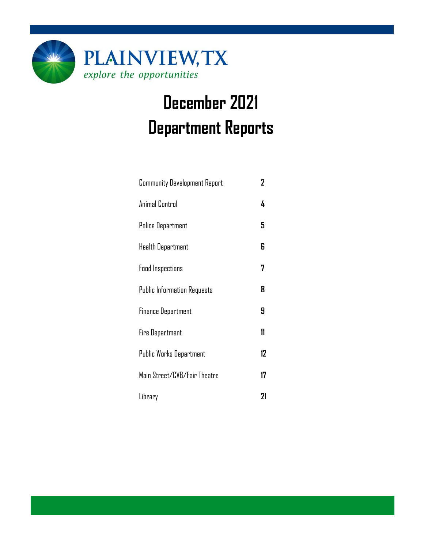

# **December 2021 Department Reports**

| <b>Community Development Report</b> | 2  |
|-------------------------------------|----|
| Animal Control                      | 4  |
| <b>Police Department</b>            | 5  |
| Health Department                   | 6  |
| <b>Food Inspections</b>             | 7  |
| <b>Public Information Requests</b>  | 8  |
| <b>Finance Department</b>           | 9  |
| <b>Fire Department</b>              | 11 |
| Public Works Department             | 12 |
| Main Street/CVB/Fair Theatre        | 17 |
| Library                             | 21 |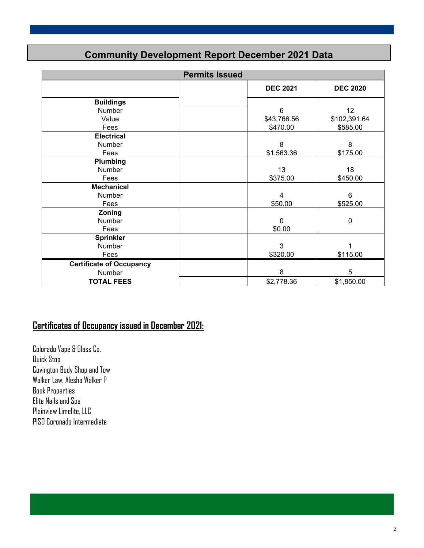### **Community Development Report December 2021 Data**

|                                 | <b>Permits Issued</b> |                                    |
|---------------------------------|-----------------------|------------------------------------|
|                                 |                       | <b>DEC 2021</b><br><b>DEC 2020</b> |
| <b>Buildings</b>                |                       |                                    |
| <b>Number</b>                   |                       | 6<br>12                            |
| Value                           |                       | \$102,391.64<br>\$43,766.56        |
| Fees                            |                       | \$470.00<br>\$585.00               |
| <b>Electrical</b>               |                       |                                    |
| Number                          |                       | 8<br>8                             |
| Fees                            |                       | \$175.00<br>\$1,563.36             |
| Plumbing                        |                       |                                    |
| Number                          |                       | 13<br>18                           |
| Fees                            |                       | \$375.00<br>\$450.00               |
| <b>Mechanical</b>               |                       |                                    |
| Number                          |                       | 6<br>4                             |
| Fees                            |                       | \$50.00<br>\$525.00                |
| Zoning                          |                       |                                    |
| Number                          |                       | $\mathbf 0$<br>0                   |
| Fees                            |                       | \$0.00                             |
| <b>Sprinkler</b>                |                       |                                    |
| Number                          |                       | 3<br>1                             |
| Fees                            |                       | \$320.00<br>\$115.00               |
| <b>Certificate of Occupancy</b> |                       |                                    |
| Number                          |                       | 8<br>5                             |
| <b>TOTAL FEES</b>               |                       | \$2,778.36<br>\$1,850.00           |

### **Certificates of Occupancy issued in December 2021:**

Colorado Vape & Glass Co. Quick Stop Covington Body Shop and Tow Walker Law, Alesha Walker P Book Properties Elite Nails and Spa Plainview Limelite, LLC PISD Coronado Intermediate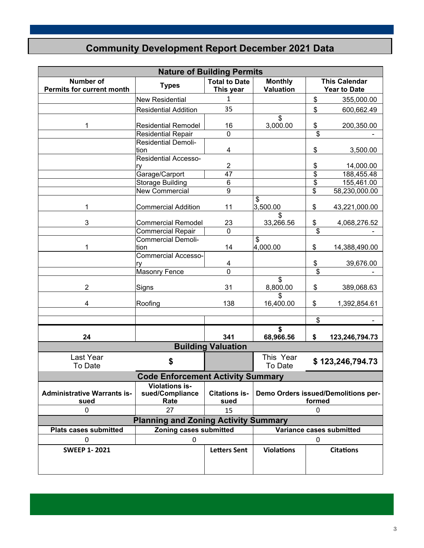### **Community Development Report December 2021 Data**

|                                                      | <b>Nature of Building Permits</b>                |                                   |                                               |               |                                             |  |  |  |  |  |
|------------------------------------------------------|--------------------------------------------------|-----------------------------------|-----------------------------------------------|---------------|---------------------------------------------|--|--|--|--|--|
| <b>Number of</b><br><b>Permits for current month</b> | <b>Types</b>                                     | <b>Total to Date</b><br>This year | <b>Monthly</b><br><b>Valuation</b>            |               | <b>This Calendar</b><br><b>Year to Date</b> |  |  |  |  |  |
|                                                      | <b>New Residential</b>                           | $\mathbf{1}$                      |                                               | \$            | 355,000.00                                  |  |  |  |  |  |
|                                                      | <b>Residential Addition</b>                      | 35                                |                                               | \$            | 600,662.49                                  |  |  |  |  |  |
| 1                                                    | <b>Residential Remodel</b>                       | 16                                | \$<br>3,000.00                                | \$            | 200,350.00                                  |  |  |  |  |  |
|                                                      | <b>Residential Repair</b>                        | $\overline{0}$                    |                                               | \$            |                                             |  |  |  |  |  |
|                                                      | <b>Residential Demoli-</b><br>tion               | $\overline{\mathbf{4}}$           |                                               | \$            | 3,500.00                                    |  |  |  |  |  |
|                                                      | <b>Residential Accesso-</b><br>ry                | 2                                 |                                               | $\frac{6}{3}$ | 14,000.00                                   |  |  |  |  |  |
|                                                      | Garage/Carport                                   | 47                                |                                               |               | 188,455.48                                  |  |  |  |  |  |
|                                                      | <b>Storage Building</b>                          | $\overline{6}$                    |                                               | \$            | 155,461.00                                  |  |  |  |  |  |
|                                                      | <b>New Commercial</b>                            | $\overline{9}$                    |                                               | \$            | 58,230,000.00                               |  |  |  |  |  |
| 1                                                    | <b>Commercial Addition</b>                       | 11                                | \$<br>3,500.00                                | \$            | 43,221,000.00                               |  |  |  |  |  |
| 3                                                    | <b>Commercial Remodel</b>                        | 23                                | \$<br>33,266.56                               | \$            | 4,068,276.52                                |  |  |  |  |  |
|                                                      | <b>Commercial Repair</b>                         | $\overline{0}$                    |                                               | \$            |                                             |  |  |  |  |  |
| 1                                                    | <b>Commercial Demoli-</b><br>tion                | 14                                | \$<br>4,000.00                                | \$            | 14,388,490.00                               |  |  |  |  |  |
|                                                      | <b>Commercial Accesso-</b>                       |                                   |                                               |               |                                             |  |  |  |  |  |
|                                                      | ry<br>Masonry Fence                              | 4<br>$\overline{0}$               |                                               | \$<br>\$      | 39,676.00                                   |  |  |  |  |  |
|                                                      |                                                  |                                   | \$                                            |               |                                             |  |  |  |  |  |
| $\overline{2}$                                       | Signs                                            | 31                                | 8,800.00                                      | \$            | 389,068.63                                  |  |  |  |  |  |
| 4                                                    | Roofing                                          | 138                               | \$<br>16,400.00                               | \$            | 1,392,854.61                                |  |  |  |  |  |
|                                                      |                                                  |                                   |                                               | \$            | $\blacksquare$                              |  |  |  |  |  |
|                                                      |                                                  |                                   | \$                                            |               |                                             |  |  |  |  |  |
| 24                                                   |                                                  | 341                               | 68,966.56                                     | \$            | 123,246,794.73                              |  |  |  |  |  |
|                                                      |                                                  | <b>Building Valuation</b>         |                                               |               |                                             |  |  |  |  |  |
| Last Year<br>To Date                                 | \$                                               |                                   | This Year<br>To Date                          |               | \$123,246,794.73                            |  |  |  |  |  |
|                                                      | <b>Code Enforcement Activity Summary</b>         |                                   |                                               |               |                                             |  |  |  |  |  |
| <b>Administrative Warrants is-</b><br>sued           | <b>Violations is-</b><br>sued/Compliance<br>Rate | <b>Citations is-</b><br>sued      | Demo Orders issued/Demolitions per-<br>formed |               |                                             |  |  |  |  |  |
| 0                                                    | 27                                               | 15                                |                                               | $\mathbf 0$   |                                             |  |  |  |  |  |
| <b>Planning and Zoning Activity Summary</b>          |                                                  |                                   |                                               |               |                                             |  |  |  |  |  |
| <b>Plats cases submitted</b>                         | Zoning cases submitted                           |                                   |                                               |               | Variance cases submitted                    |  |  |  |  |  |
| 0                                                    | 0                                                |                                   |                                               | 0             |                                             |  |  |  |  |  |
| <b>SWEEP 1-2021</b>                                  |                                                  | <b>Letters Sent</b>               | <b>Violations</b>                             |               | <b>Citations</b>                            |  |  |  |  |  |
|                                                      |                                                  |                                   |                                               |               |                                             |  |  |  |  |  |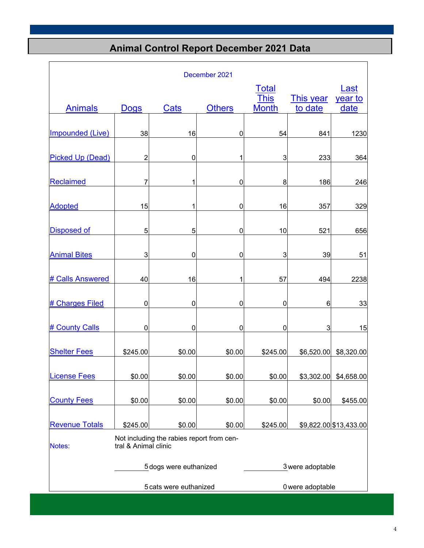### **Animal Control Report December 2021 Data**

| December 2021                                                               |                |                        |               |                             |                             |                        |  |  |
|-----------------------------------------------------------------------------|----------------|------------------------|---------------|-----------------------------|-----------------------------|------------------------|--|--|
|                                                                             |                |                        |               | <b>Total</b>                |                             | Last                   |  |  |
| <b>Animals</b>                                                              | <b>Dogs</b>    | <b>Cats</b>            | <b>Others</b> | <b>This</b><br><b>Month</b> | <b>This year</b><br>to date | <u>year to</u><br>date |  |  |
| <b>Impounded (Live)</b>                                                     | 38             | 16                     | 0             | 54                          | 841                         | 1230                   |  |  |
| <b>Picked Up (Dead)</b>                                                     | $\overline{2}$ | 0                      | 1             | 3                           | 233                         | 364                    |  |  |
| Reclaimed                                                                   | 7              |                        | $\mathbf 0$   | 8                           | 186                         | 246                    |  |  |
| <b>Adopted</b>                                                              | 15             | 1                      | 0             | 16                          | 357                         | 329                    |  |  |
| <b>Disposed of</b>                                                          | 5              | 5                      | 0             | 10                          | 521                         | 656                    |  |  |
| <b>Animal Bites</b>                                                         | 3              | $\mathbf 0$            | $\mathbf 0$   | 3                           | 39                          | 51                     |  |  |
| # Calls Answered                                                            | 40             | 16                     | 1             | 57                          | 494                         | 2238                   |  |  |
| # Charges Filed                                                             | 0              | $\mathbf 0$            | 0             | 0                           | 6                           | 33                     |  |  |
| # County Calls                                                              | $\mathbf 0$    | $\mathbf 0$            | $\mathbf 0$   | $\mathbf 0$                 | $\ensuremath{\mathsf{3}}$   | 15                     |  |  |
| <b>Shelter Fees</b>                                                         | \$245.00       | \$0.00                 | \$0.00        | \$245.00                    | \$6,520.00                  | \$8,320.00             |  |  |
| <b>License Fees</b>                                                         | \$0.00         | \$0.00                 | \$0.00        | \$0.00                      | \$3,302.00                  | \$4,658.00             |  |  |
| <b>County Fees</b>                                                          | \$0.00         | \$0.00                 | \$0.00        | \$0.00                      | \$0.00                      | \$455.00               |  |  |
| <b>Revenue Totals</b>                                                       | \$245.00       | \$0.00                 | \$0.00        | \$245.00                    |                             | \$9,822.00 \$13,433.00 |  |  |
| Not including the rabies report from cen-<br>tral & Animal clinic<br>Notes: |                |                        |               |                             |                             |                        |  |  |
|                                                                             |                | 5 dogs were euthanized |               |                             | 3 were adoptable            |                        |  |  |
|                                                                             |                | 5 cats were euthanized |               |                             | 0 were adoptable            |                        |  |  |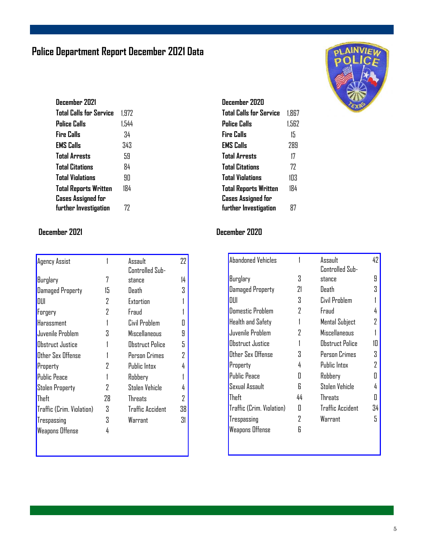### **Police Department Report December 2021 Data**

| December 2021                  |       |
|--------------------------------|-------|
| <b>Total Calls for Service</b> | 1.972 |
| Police Calls                   | 1.544 |
| Fire Calls                     | 34    |
| EMS Calls                      | 343   |
| <b>Total Arrests</b>           | 59    |
| <b>Total Citations</b>         | 84    |
| <b>Total Violations</b>        | 9П    |
| <b>Total Reports Written</b>   | 184   |
| <b>Cases Assigned for</b>      |       |
| further Investigation          | 77    |

| <b>Agency Assist</b>      |    | Assault          | 22 |
|---------------------------|----|------------------|----|
|                           |    | Controlled Sub-  |    |
| Burglary                  | 7  | stance           | 14 |
| <b>Damaged Property</b>   | 15 | Death            | 3  |
| niii                      | 2  | Extortion        |    |
| Forgery                   | 2  | Fraud            |    |
| Harassment                |    | Civil Problem    | П  |
| Juvenile Problem          | Χ  | Miscellaneous    | 9  |
| Obstruct Justice          |    | Obstruct Police  | 5  |
| Other Sex Offense         |    | Person Crimes    | 2  |
| Property                  | 2  | Public Intox     | 4  |
| <b>Public Peace</b>       |    | Robbery          |    |
| <b>Stolen Property</b>    | 7  | Stolen Vehicle   | 4  |
| Theft                     | 28 | <b>Threats</b>   | 2  |
| Traffic (Crim. Violation) | 3  | Traffic Accident | 38 |
| Trespassing               | 3  | Warrant          | 31 |
| <b>Weapons Offense</b>    | 4  |                  |    |
|                           |    |                  |    |



#### **December 2021 December 2020**

| <b>Abandoned Vehicles</b> |    | Assault                 | 42 |
|---------------------------|----|-------------------------|----|
|                           |    | Controlled Sub-         |    |
| Burglary                  | 3  | stance                  | 9  |
| <b>Damaged Property</b>   | 21 | Death                   | 3  |
| DUI                       | 3  | Civil Problem           |    |
| Domestic Problem          | 2  | Fraud                   | 4  |
| Health and Safety         |    | Mental Subject          | 7  |
| Juvenile Problem          | 7  | <b>Miscellaneous</b>    |    |
| Abstruct Justice          |    | Obstruct Police         | 1П |
| Other Sex Offense         | Χ  | Person Crimes           | 3  |
| Property                  | 4  | Public Intox            | 2  |
| <b>Public Peace</b>       | П  | Robbery                 | П  |
| Sexual Assault            | R  | Stolen Vehicle          | 4  |
| Theft                     | 44 | Threats                 | Π  |
| Traffic (Crim. Violation) | П  | <b>Traffic Accident</b> | 34 |
| Trespassing               | 7  | Warrant                 | 5  |
| Weapons Offense           | R  |                         |    |
|                           |    |                         |    |

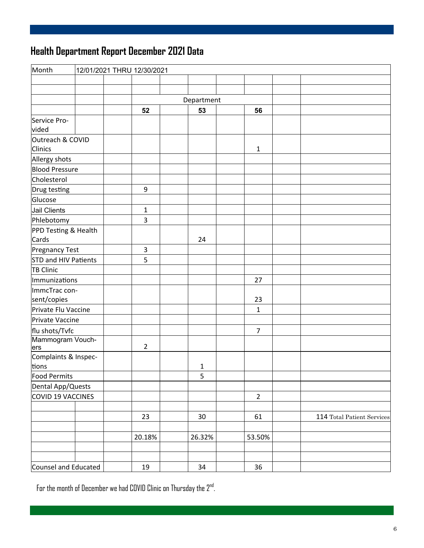## **Health Department Report December 2021 Data**

| Month                       |  | 12/01/2021 THRU 12/30/2021 |              |                |                            |
|-----------------------------|--|----------------------------|--------------|----------------|----------------------------|
|                             |  |                            |              |                |                            |
|                             |  |                            |              |                |                            |
|                             |  |                            | Department   |                |                            |
|                             |  | 52                         | 53           | 56             |                            |
| Service Pro-<br>vided       |  |                            |              |                |                            |
| Outreach & COVID<br>Clinics |  |                            |              | $\mathbf{1}$   |                            |
| Allergy shots               |  |                            |              |                |                            |
| <b>Blood Pressure</b>       |  |                            |              |                |                            |
| Cholesterol                 |  |                            |              |                |                            |
| Drug testing                |  | 9                          |              |                |                            |
| Glucose                     |  |                            |              |                |                            |
| Jail Clients                |  | $\mathbf{1}$               |              |                |                            |
| Phlebotomy                  |  | 3                          |              |                |                            |
| PPD Testing & Health        |  |                            |              |                |                            |
| Cards                       |  |                            | 24           |                |                            |
| <b>Pregnancy Test</b>       |  | 3                          |              |                |                            |
| <b>STD and HIV Patients</b> |  | 5                          |              |                |                            |
| <b>TB Clinic</b>            |  |                            |              |                |                            |
| Immunizations               |  |                            |              | 27             |                            |
| ImmcTrac con-               |  |                            |              |                |                            |
| sent/copies                 |  |                            |              | 23             |                            |
| Private Flu Vaccine         |  |                            |              | $\mathbf{1}$   |                            |
| Private Vaccine             |  |                            |              |                |                            |
| flu shots/Tvfc              |  |                            |              | $\overline{7}$ |                            |
| Mammogram Vouch-<br>ers     |  | $\overline{2}$             |              |                |                            |
| Complaints & Inspec-        |  |                            |              |                |                            |
| tions                       |  |                            | $\mathbf{1}$ |                |                            |
| Food Permits                |  |                            | 5            |                |                            |
| Dental App/Quests           |  |                            |              |                |                            |
| COVID 19 VACCINES           |  |                            |              | $\overline{2}$ |                            |
|                             |  |                            |              |                |                            |
|                             |  | 23                         | 30           | 61             | 114 Total Patient Services |
|                             |  |                            |              |                |                            |
|                             |  | 20.18%                     | 26.32%       | 53.50%         |                            |
|                             |  |                            |              |                |                            |
|                             |  |                            |              |                |                            |
| Counsel and Educated        |  | 19                         | 34           | 36             |                            |

For the month of December we had COVID Clinic on Thursday the 2nd.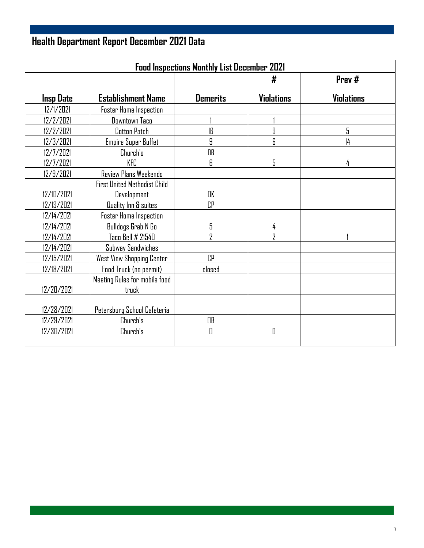## **Health Department Report December 2021 Data**

| <b>Food Inspections Monthly List December 2021</b> |                                     |                 |                   |                   |  |  |  |  |
|----------------------------------------------------|-------------------------------------|-----------------|-------------------|-------------------|--|--|--|--|
|                                                    |                                     |                 | #                 | Prev#             |  |  |  |  |
| <b>Insp Date</b>                                   | <b>Establishment Name</b>           | <b>Demerits</b> | <b>Violations</b> | <b>Violations</b> |  |  |  |  |
| 12/1/2021                                          | <b>Foster Home Inspection</b>       |                 |                   |                   |  |  |  |  |
| 12/2/2021                                          | Downtown Taco                       |                 |                   |                   |  |  |  |  |
| 12/2/2021                                          | Cotton Patch                        | 16              | 9                 | 5                 |  |  |  |  |
| 12/3/2021                                          | <b>Empire Super Buffet</b>          | 9               | 6                 | $\frac{1}{4}$     |  |  |  |  |
| 12/7/2021                                          | Church's                            | OB              |                   |                   |  |  |  |  |
| 12/7/2021                                          | KFC                                 | 6               | 5                 | 4                 |  |  |  |  |
| 12/9/2021                                          | Review Plans Weekends               |                 |                   |                   |  |  |  |  |
|                                                    | <b>First United Methodist Child</b> |                 |                   |                   |  |  |  |  |
| 12/10/2021                                         | <b>Development</b>                  | OK              |                   |                   |  |  |  |  |
| 12/13/2021                                         | Quality Inn & suites                | CP              |                   |                   |  |  |  |  |
| 12/14/2021                                         | <b>Foster Home Inspection</b>       |                 |                   |                   |  |  |  |  |
| 12/14/2021                                         | Bulldogs Grab N Go                  | 5               | 4                 |                   |  |  |  |  |
| 12/14/2021                                         | Taco Bell # 21540                   | 7               | 2                 |                   |  |  |  |  |
| 12/14/2021                                         | Subway Sandwiches                   |                 |                   |                   |  |  |  |  |
| 12/15/2021                                         | West View Shopping Center           | <b>CP</b>       |                   |                   |  |  |  |  |
| 12/18/2021                                         | Food Truck (no permit)              | closed          |                   |                   |  |  |  |  |
|                                                    | Meeting Rules for mobile food       |                 |                   |                   |  |  |  |  |
| 12/20/2021                                         | truck                               |                 |                   |                   |  |  |  |  |
|                                                    |                                     |                 |                   |                   |  |  |  |  |
| 12/28/2021                                         | Petersburg School Cafeteria         |                 |                   |                   |  |  |  |  |
| 12/29/2021                                         | Church's                            | OB              |                   |                   |  |  |  |  |
| 12/30/2021                                         | Church's                            | 0               | 0                 |                   |  |  |  |  |
|                                                    |                                     |                 |                   |                   |  |  |  |  |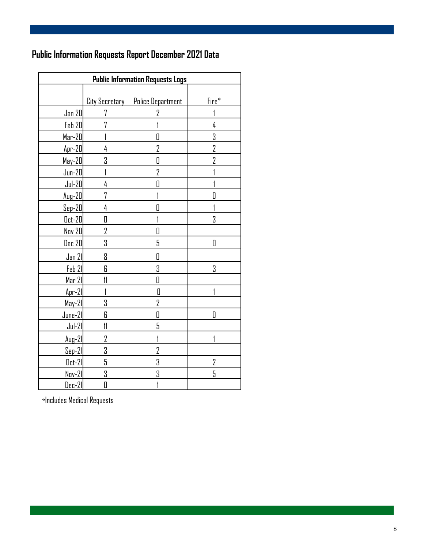### **Public Information Requests Report December 2021 Data**

| <b>Public Information Requests Logs</b> |                       |                          |                  |  |  |  |  |
|-----------------------------------------|-----------------------|--------------------------|------------------|--|--|--|--|
|                                         |                       |                          |                  |  |  |  |  |
|                                         | <u>City Secretary</u> | <b>Police Department</b> | Fire*            |  |  |  |  |
| <u>Jan 20</u>                           | 7                     | 2                        |                  |  |  |  |  |
| Feb 20                                  | 7                     |                          | 4                |  |  |  |  |
| $Mar-20$                                |                       | O                        | 3                |  |  |  |  |
| $Apr-20$                                | 4                     | $\overline{2}$           | $\overline{2}$   |  |  |  |  |
| $May-20$                                | 3                     | O                        | $\overline{2}$   |  |  |  |  |
| $Jun-20$                                |                       | $\overline{2}$           |                  |  |  |  |  |
| $Jul-20$                                | 4                     | 0                        |                  |  |  |  |  |
| $Aug-20$                                | 7                     |                          | $\overline{\Pi}$ |  |  |  |  |
| $Sep-20$                                | 4                     | O                        |                  |  |  |  |  |
| $0ct-20$                                | 0                     |                          | 3                |  |  |  |  |
| <b>Nov 20</b>                           | 2                     | O                        |                  |  |  |  |  |
| <u>Dec 20</u>                           | 3                     | 5                        | 0                |  |  |  |  |
| Jan 21                                  | 8                     | O                        |                  |  |  |  |  |
| Feb 21                                  | 6                     | 3                        | 3                |  |  |  |  |
| Mar 21                                  | $\mathfrak{m}$        | O                        |                  |  |  |  |  |
| $Apr-21$                                |                       | 0                        |                  |  |  |  |  |
| $May-21$                                | 3                     | 2                        |                  |  |  |  |  |
| $June-21$                               | 6                     | 0                        | Π                |  |  |  |  |
| $Jul-21$                                | $\mathfrak l$         | 5                        |                  |  |  |  |  |
| $Aug-21$                                | 2                     | 1                        |                  |  |  |  |  |
| $Sep-21$                                | 3                     | 2                        |                  |  |  |  |  |
| $0ct-21$                                | 5                     | 3                        | 2                |  |  |  |  |
| Nov-21                                  | 3                     | 3                        | 5                |  |  |  |  |
| <u> Dec-21</u>                          | 0                     | 1                        |                  |  |  |  |  |

\*Includes Medical Requests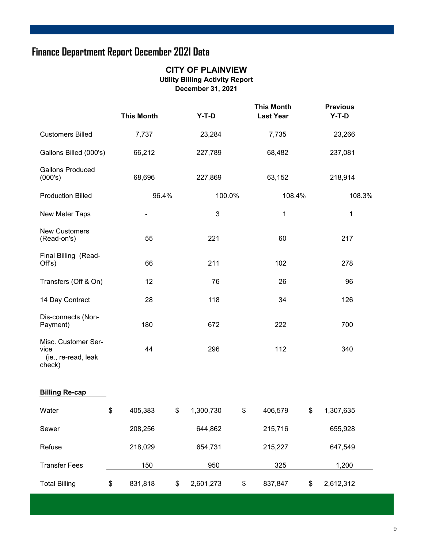### **Finance Department Report December 2021 Data**

#### **CITY OF PLAINVIEW Utility Billing Activity Report December 31, 2021**

|                                                              | <b>This Month</b> |    | $Y-T-D$   |    | <b>This Month</b><br><b>Last Year</b> |         | <b>Previous</b><br>$Y-T-D$ |        |
|--------------------------------------------------------------|-------------------|----|-----------|----|---------------------------------------|---------|----------------------------|--------|
| <b>Customers Billed</b>                                      | 7,737             |    | 23,284    |    |                                       |         | 23,266                     |        |
| Gallons Billed (000's)                                       | 66,212            |    | 227,789   |    | 68,482                                |         | 237,081                    |        |
| <b>Gallons Produced</b><br>(000's)                           | 68,696            |    | 227,869   |    | 63,152                                | 218,914 |                            |        |
| <b>Production Billed</b>                                     | 96.4%             |    | 100.0%    |    | 108.4%                                |         |                            | 108.3% |
| New Meter Taps                                               |                   |    | 3         |    | $\mathbf 1$                           |         | $\mathbf{1}$               |        |
| <b>New Customers</b><br>(Read-on's)                          | 55                |    | 221       |    | 60                                    |         | 217                        |        |
| Final Billing (Read-<br>Off's)                               | 66                |    | 211       |    | 102                                   |         | 278                        |        |
| Transfers (Off & On)                                         | 12                |    | 76        |    | 26                                    |         | 96                         |        |
| 14 Day Contract                                              | 28                |    | 118       |    | 34                                    |         | 126                        |        |
| Dis-connects (Non-<br>Payment)                               | 180               |    | 672       |    | 222                                   |         | 700                        |        |
| Misc. Customer Ser-<br>vice<br>(ie., re-read, leak<br>check) | 44                |    | 296       |    | 112                                   |         | 340                        |        |
| <b>Billing Re-cap</b>                                        |                   |    |           |    |                                       |         |                            |        |
| Water                                                        | \$<br>405,383     | \$ | 1,300,730 | \$ | 406,579                               | \$      | 1,307,635                  |        |
| Sewer                                                        | 208,256           |    | 644,862   |    | 215,716                               |         | 655,928                    |        |
| Refuse                                                       | 218,029           |    | 654,731   |    | 215,227                               |         | 647,549                    |        |
| <b>Transfer Fees</b>                                         | 150               |    | 950       |    | 325                                   |         | 1,200                      |        |
| <b>Total Billing</b>                                         | \$<br>831,818     | \$ | 2,601,273 | \$ | 837,847                               | \$      | 2,612,312                  |        |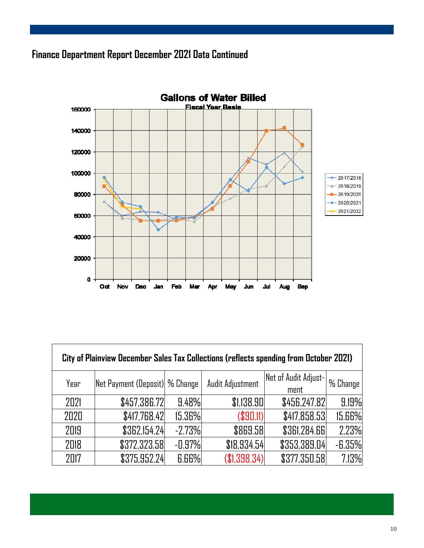### **Finance Department Report December 2021 Data Continued**



| City of Plainview December Sales Tax Collections (reflects spending from October 2021) |                                |              |                  |                              |          |  |  |  |  |
|----------------------------------------------------------------------------------------|--------------------------------|--------------|------------------|------------------------------|----------|--|--|--|--|
| Year                                                                                   | Net Payment (Deposit) % Change |              | Audit Adjustment | Net of Audit Adjust-<br>ment | % Change |  |  |  |  |
| 2021                                                                                   | \$457,386.72                   | 9.48%        | \$1,138.90       | \$456,247.82                 | 9.19%    |  |  |  |  |
| 2020                                                                                   | \$417,768.42                   | 15.36%       | (S90.11)         | \$417,858.53                 | 15.66%   |  |  |  |  |
| 2019                                                                                   | \$362,154.24                   | $-2.73%$     | \$869.58         | \$361,284.66                 | 2.23%    |  |  |  |  |
| 2018                                                                                   | \$372,323.58                   | $-0.97%$     | \$18,934.54      | \$353,389.04                 | $-6.35%$ |  |  |  |  |
| 2017                                                                                   | \$375,952.24                   | <b>6.66%</b> | (S1.398.34)      | \$377,350.58                 | 7.13%    |  |  |  |  |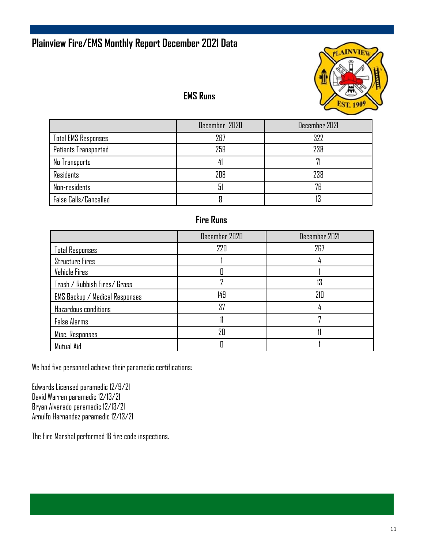### **Plainview Fire/EMS Monthly Report December 2021 Data**



#### **EMS Runs**

|                            | December 2020 | December 2021 |
|----------------------------|---------------|---------------|
| <b>Total EMS Responses</b> | 267           | 322           |
| Patients Transported       | 259           | 238           |
| No Transports              |               |               |
| <b>Residents</b>           | 208           | 238           |
| Non-residents              | h             | 76            |
| False Calls/Cancelled      |               | 13            |

### **Fire Runs**

|                                       | December 2020 | December 2021 |
|---------------------------------------|---------------|---------------|
| <b>Total Responses</b>                | 220           | 267           |
| <b>Structure Fires</b>                |               |               |
| Vehicle Fires                         |               |               |
| Trash / Rubbish Fires/ Grass          |               | 13            |
| <b>EMS Backup / Medical Responses</b> | 149           | 210           |
| Hazardous conditions                  | 37            |               |
| <b>False Alarms</b>                   |               |               |
| Misc. Responses                       | 7Π            |               |
| Mutual Aid                            |               |               |

We had five personnel achieve their paramedic certifications:

Edwards Licensed paramedic 12/9/21 David Warren paramedic 12/13/21 Bryan Alvarado paramedic 12/13/21 Arnulfo Hernandez paramedic 12/13/21

The Fire Marshal performed 16 fire code inspections.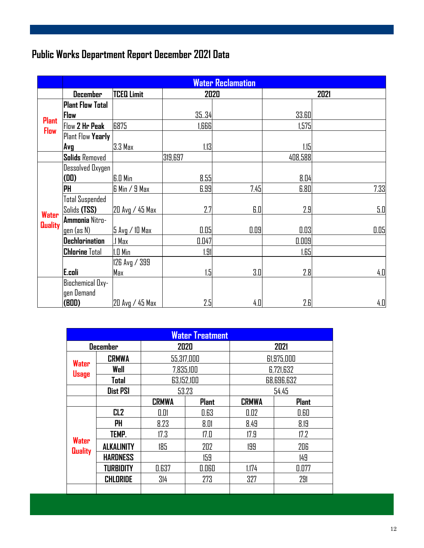## **Public Works Department Report December 2021 Data**

|                | <b>Water Reclamation</b> |                   |         |      |         |      |
|----------------|--------------------------|-------------------|---------|------|---------|------|
|                | <b>December</b>          | <b>TCEQ Limit</b> | 2020    |      | 2021    |      |
|                | <b>Plant Flow Total</b>  |                   |         |      |         |      |
| <b>Plant</b>   | Flow                     |                   | 35.34   |      | 33.60   |      |
| <b>Flow</b>    | Flow 2 Hr Peak           | 6875              | 1,666   |      | 1,575I  |      |
|                | Plant Flow Yearly        |                   |         |      |         |      |
|                | Avg                      | 3.3 Max           | 1.13    |      | 1.15    |      |
|                | <b>Solids Removed</b>    |                   | 319,697 |      | 408,588 |      |
|                | <b>Dessolved Oxygen</b>  |                   |         |      |         |      |
|                | (D <sub>0</sub> )        | <b>G.D Min</b>    | 8.55    |      | 8.04    |      |
|                | ļΡH                      | 6 Min / 9 Max     | 6.99    | 7.45 | 6.80    | 7.33 |
|                | <b>Total Suspended</b>   |                   |         |      |         |      |
| Water          | Solids (TSS)             | 20 Avg / 45 Max   | 2.7     | 6.0  | 2.9     | 5.0  |
|                | Ammonia Nitro-           |                   |         |      |         |      |
| <b>Quality</b> | <u>gen (as N)</u>        | 5 Avg / 10 Max    | 0.05    | 0.09 | 0.03    | 0.05 |
|                | Dechlorination           | ! Max             | 0.047   |      | 0.009   |      |
|                | <b>Chlorine Total</b>    | I.O Min           | 1.91    |      | 1.65    |      |
|                |                          | 126 Avg / 399     |         |      |         |      |
|                | E.coli                   | Max               | 1.5     | 3.0  | 2.8     | 4.0  |
|                | Biochemical Oxy-         |                   |         |      |         |      |
|                | gen Demand               |                   |         |      |         |      |
|                | (BOD)                    | 20 Avg / 45 Max   | 2.5     | 4.0  | 2.E     | 4.0  |

| <b>Water Treatment</b>  |                   |                              |            |              |              |  |
|-------------------------|-------------------|------------------------------|------------|--------------|--------------|--|
|                         | <b>December</b>   |                              | 2020       | 2021         |              |  |
|                         | <b>CRMWA</b>      | 55,317,000                   |            | 61,975,000   |              |  |
| Water                   | Well              |                              | 7,835,100  | 6,721,632    |              |  |
| <b>Usage</b>            | Total             |                              | 63,152,100 | 68,696,632   |              |  |
|                         | <b>Dist PSI</b>   | 53.23                        |            |              | 54.45        |  |
|                         |                   | <b>CRMWA</b><br><b>Plant</b> |            | <b>CRMWA</b> | <b>Plant</b> |  |
|                         | CL <sub>2</sub>   | 0.01                         | 0.63       | 0.02         | 0.60         |  |
|                         | PH                | 8.23                         | 8.01       | 8.49         | 8.19         |  |
|                         | TEMP.             | 17.3                         | 17.0       | 17.9         | 17.2         |  |
| Water<br><b>Quality</b> | <b>ALKALINITY</b> | 185                          | 202        | 199          | 206          |  |
|                         | <b>HARDNESS</b>   |                              | 159        |              | 149          |  |
|                         | <b>TURBIDITY</b>  | 0.637                        | 0.060      | 1.174        | 0.077        |  |
|                         | CHLORIDE          | 314                          | 273        | 327          | 291          |  |
|                         |                   |                              |            |              |              |  |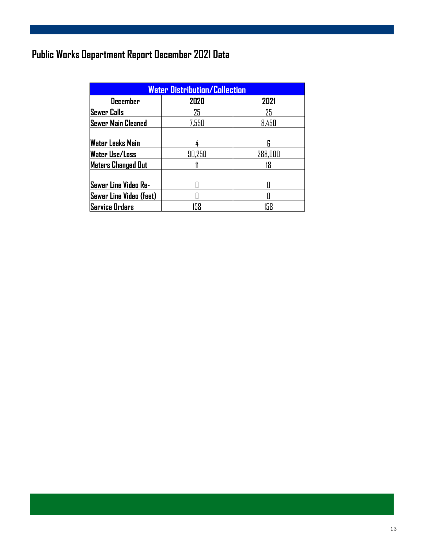## **Public Works Department Report December 2021 Data**

| <b>Water Distribution/Collection</b> |        |         |  |  |  |
|--------------------------------------|--------|---------|--|--|--|
| 2020<br>2021<br><b>December</b>      |        |         |  |  |  |
| <b>Sewer Calls</b>                   | 25     | 25      |  |  |  |
| Sewer Main Cleaned                   | 7,550  | 8,450   |  |  |  |
|                                      |        |         |  |  |  |
| <b>Water Leaks Main</b>              |        | R       |  |  |  |
| <b>Water Use/Loss</b>                | 90,250 | 288,000 |  |  |  |
| <b>Meters Changed Out</b>            |        | 18      |  |  |  |
|                                      |        |         |  |  |  |
| Sewer Line Video Re-                 |        |         |  |  |  |
| Sewer Line Video (feet)              |        |         |  |  |  |
| Service Orders                       | 158    | 158     |  |  |  |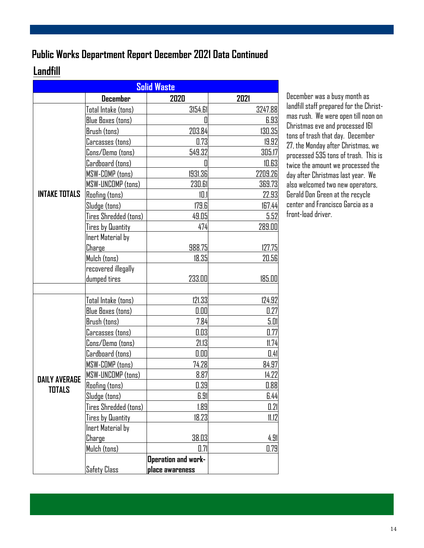### **Public Works Department Report December 2021 Data Continued**

### **Landfill**

| <b>Solid Waste</b>   |                          |                            |         |  |
|----------------------|--------------------------|----------------------------|---------|--|
|                      | <b>December</b>          | 2020                       | 2021    |  |
|                      | Total Intake (tons)      | 3154.61                    | 3247.88 |  |
|                      | <b>Blue Boxes (tons)</b> | 0                          | 6.93    |  |
|                      | Brush (tons)             | 203.84                     | 130.35  |  |
|                      | Carcasses (tons)         | 0.73                       | 19.92   |  |
|                      | Cons/Demo (tons)         | 549.32                     | 305.17  |  |
|                      | Cardboard (tons)         | 0                          | 10.63   |  |
|                      | <b>MSW-COMP (tons)</b>   | 1931.36                    | 2209.26 |  |
|                      | MSW-UNCOMP (tons)        | 230.61                     | 369.73  |  |
| <b>INTAKE TOTALS</b> | <b>Roofing (tons)</b>    | 10.1                       | 22.93   |  |
|                      | Sludge (tons)            | 179.6                      | 167.44  |  |
|                      | Tires Shredded (tons)    | 49.05                      | 5.52    |  |
|                      | Tires by Quantity        | 474                        | 289.00  |  |
|                      | Inert Material by        |                            |         |  |
|                      | Charge                   | 988.75                     | 127.75  |  |
|                      | Mulch (tons)             | 18.35                      | 20.56   |  |
|                      | recovered illegally      |                            |         |  |
|                      | dumped tires             | 233.00                     | 185.00  |  |
|                      |                          |                            |         |  |
|                      | Total Intake (tons)      | 121.33                     | 124.92  |  |
|                      | <b>Blue Boxes (tons)</b> | 0.00                       | 0.27    |  |
|                      | Brush (tons)             | 7.84                       | 5.01    |  |
|                      | Carcasses (tons)         | 0.03                       | 0.77    |  |
|                      | Cons/Demo (tons)         | 21.13                      | 11.74   |  |
|                      | Cardboard (tons)         | 0.00                       | 0.41    |  |
|                      | MSW-COMP (tons)          | 74.28                      | 84.97   |  |
| <b>DAILY AVERAGE</b> | MSW-UNCOMP (tons)        | 8.87                       | 14.22   |  |
| TOTALS               | Roofing (tons)           | 0.39                       | 0.88    |  |
|                      | Sludge (tons)            | 6.91                       | 6.44    |  |
|                      | Tires Shredded (tons)    | 1.89                       | 0.21    |  |
|                      | <b>Tires by Quantity</b> | 18.23                      | 11.12   |  |
|                      | Inert Material by        |                            |         |  |
|                      | Charge                   | 38.03                      | 4.91    |  |
|                      | Mulch (tons)             | 0.71                       | 0.79    |  |
|                      |                          | <b>Operation and work-</b> |         |  |
|                      | <b>Safety Class</b>      | place awareness            |         |  |

December was a busy month as landfill staff prepared for the Christmas rush. We were open till noon on Christmas eve and processed 161 tons of trash that day. December 27, the Monday after Christmas, we processed 535 tons of trash. This is twice the amount we processed the day after Christmas last year. We also welcomed two new operators, Gerald Don Green at the recycle center and Francisco Garcia as a front-load driver.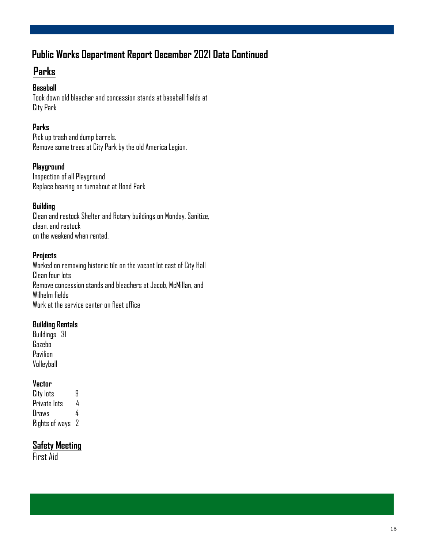### **Public Works Department Report December 2021 Data Continued**

### **Parks**

#### **Baseball**

Took down old bleacher and concession stands at baseball fields at City Park

#### **Parks**

Pick up trash and dump barrels. Remove some trees at City Park by the old America Legion.

#### **Playground**

Inspection of all Playground Replace bearing on turnabout at Hood Park

#### **Building**

Clean and restock Shelter and Rotary buildings on Monday. Sanitize, clean, and restock on the weekend when rented.

#### **Projects**

Worked on removing historic tile on the vacant lot east of City Hall Clean four lots Remove concession stands and bleachers at Jacob, McMillan, and Wilhelm fields Work at the service center on fleet office

#### **Building Rentals**

Buildings 31 Gazebo Pavilion Volleyball

#### **Vector**

| City lots      | Я  |
|----------------|----|
| Private lots   | 4  |
| Draws          | 4  |
| Rights of ways | -2 |

#### **Safety Meeting**

First Aid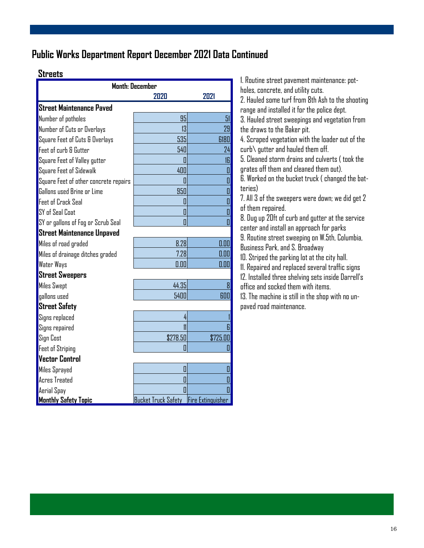### **Public Works Department Report December 2021 Data Continued**

| <b>Streets</b>                        |                            |                         | 1. Routine street pavement maintenance: pot-                                                 |
|---------------------------------------|----------------------------|-------------------------|----------------------------------------------------------------------------------------------|
|                                       | <b>Month: December</b>     |                         | holes, concrete, and utility cuts.                                                           |
|                                       | 2020                       | 2021                    | 2. Hauled some turf from 8th Ash to the shooting                                             |
| <b>Street Maintenance Paved</b>       |                            |                         | range and installed it for the police dept.                                                  |
| Number of potholes                    | 95                         | 51                      | 3. Hauled street sweepings and vegetation from                                               |
| Number of Cuts or Overlays            | 13                         | 29                      | the draws to the Baker pit.                                                                  |
| Square Feet of Cuts & Overlays        | 535                        | 6180                    | 4. Scraped vegetation with the loader out of the                                             |
| Feet of curb & Gutter                 | 540                        | 24                      | $curb\$ gutter and hauled them off.                                                          |
| Square Feet of Valley gutter          | 0                          | <sub>6</sub>            | 5. Cleaned storm drains and culverts (took the                                               |
| Square Feet of Sidewalk               | 400                        | $\overline{\mathbf{0}}$ | grates off them and cleaned them out).                                                       |
| Square Feet of other concrete repairs | D                          | $\overline{\mathbf{0}}$ | 6. Worked on the bucket truck (changed the bat-                                              |
| Gallons used Brine or Lime            | 950                        | $\overline{\mathbf{a}}$ | teries)                                                                                      |
| <b>Feet of Crack Seal</b>             | 0                          | O                       | 7. All 3 of the sweepers were down; we did get 2                                             |
| SY of Seal Coat                       | 0                          | $\blacksquare$          | of them repaired.                                                                            |
| SY or gallons of Fog or Scrub Seal    | O                          | $\overline{\mathbf{a}}$ | 8. Dug up 20ft of curb and gutter at the service<br>center and install an approach for parks |
| <b>Street Maintenance Unpaved</b>     |                            |                         | 9. Routine street sweeping on W.5th, Columbia,                                               |
| Miles of road graded                  | 8.28                       | 0.00                    | Business Park, and S. Broadway                                                               |
| Miles of drainage ditches graded      | 7.28                       | 0.00                    | 10. Striped the parking lot at the city hall.                                                |
| <b>Water Ways</b>                     | 0.00                       | 0.00                    | 11. Repaired and replaced several traffic signs                                              |
| <b>Street Sweepers</b>                |                            |                         | 12. Installed three shelving sets inside Darrell's                                           |
| <b>Miles Swept</b>                    | 44.35                      | $\mathbf{g}$            | office and socked them with items.                                                           |
| gallons used                          | 5400                       | 600                     | 13. The machine is still in the shop with no un-                                             |
| <b>Street Safety</b>                  |                            |                         | paved road maintenance.                                                                      |
| Signs replaced                        | 4                          |                         |                                                                                              |
| Signs repaired                        |                            |                         |                                                                                              |
| <b>Sign Cost</b>                      | \$278.50                   | \$725.00                |                                                                                              |
| <b>Feet of Striping</b>               | 0                          |                         |                                                                                              |
| <b>Vector Control</b>                 |                            |                         |                                                                                              |
| Miles Sprayed                         | 0                          | 0                       |                                                                                              |
| Acres Treated                         | O                          |                         |                                                                                              |
| Aerial Spay                           |                            |                         |                                                                                              |
| <b>Monthly Safety Topic</b>           | <b>Bucket Truck Safety</b> | Fire Extinguisher       |                                                                                              |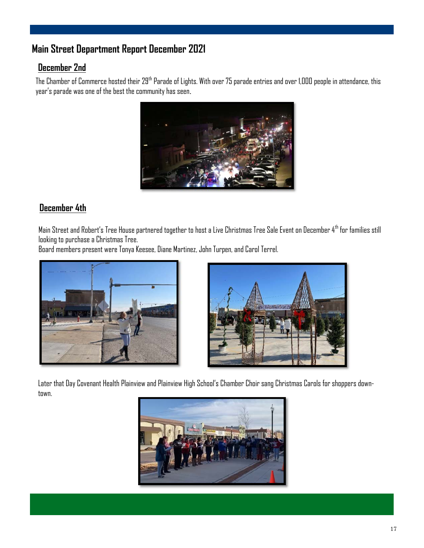### **Main Street Department Report December 2021**

#### **December 2nd**

The Chamber of Commerce hosted their 29<sup>th</sup> Parade of Lights. With over 75 parade entries and over 1,000 people in attendance, this year's parade was one of the best the community has seen.



#### **December 4th**

Main Street and Robert's Tree House partnered together to host a Live Christmas Tree Sale Event on December 4th for families still looking to purchase a Christmas Tree.

Board members present were Tonya Keesee, Diane Martinez, John Turpen, and Carol Terrel.





Later that Day Covenant Health Plainview and Plainview High School's Chamber Choir sang Christmas Carols for shoppers downtown.

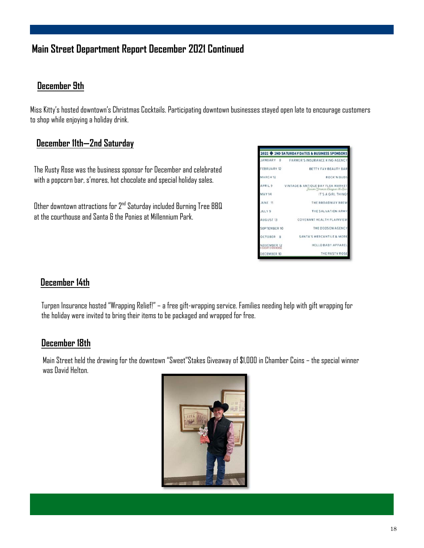### **Main Street Department Report December 2021 Continued**

#### **December 9th**

Miss Kitty's hosted downtown's Christmas Cocktails. Participating downtown businesses stayed open late to encourage customers to shop while enjoying a holiday drink.

#### **December 11th—2nd Saturday**

The Rusty Rose was the business sponsor for December and celebrated with a popcorn bar, s'mores, hot chocolate and special holiday sales.

Other downtown attractions for 2nd Saturday included Burning Tree BBQ at the courthouse and Santa & the Ponies at Millennium Park.



#### **December 14th**

Turpen Insurance hosted "Wrapping Relief!" – a free gift-wrapping service. Families needing help with gift wrapping for the holiday were invited to bring their items to be packaged and wrapped for free.

#### **December 18th**

Main Street held the drawing for the downtown "Sweet"Stakes Giveaway of \$1,000 in Chamber Coins – the special winner was David Helton.

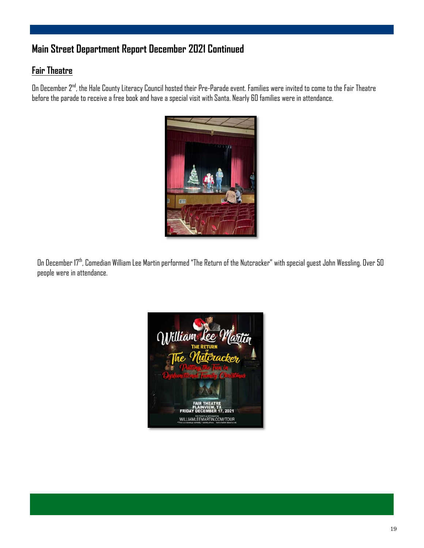### **Main Street Department Report December 2021 Continued**

#### **Fair Theatre**

On December 2<sup>nd</sup>, the Hale County Literacy Council hosted their Pre-Parade event. Families were invited to come to the Fair Theatre before the parade to receive a free book and have a special visit with Santa. Nearly 60 families were in attendance.



On December 17th, Comedian William Lee Martin performed "The Return of the Nutcracker" with special guest John Wessling. Over 50 people were in attendance.

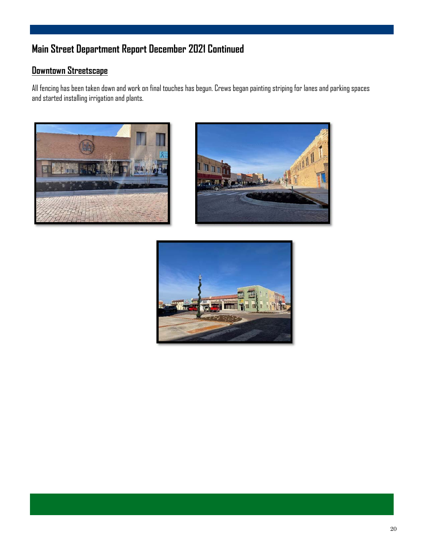### **Main Street Department Report December 2021 Continued**

### **Downtown Streetscape**

All fencing has been taken down and work on final touches has begun. Crews began painting striping for lanes and parking spaces and started installing irrigation and plants.